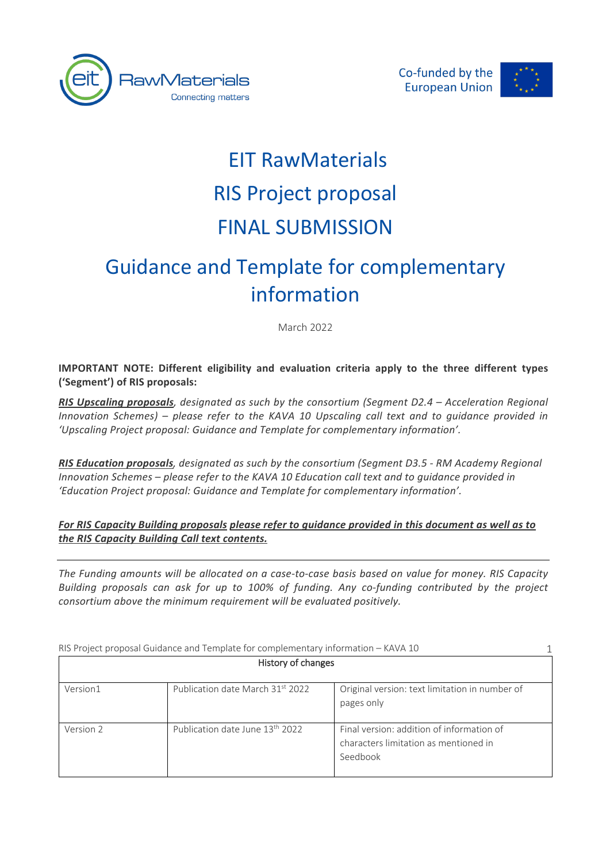





# EIT RawMaterials RIS Project proposal FINAL SUBMISSION

# Guidance and Template for complementary information

March 2022

**IMPORTANT NOTE: Different eligibility and evaluation criteria apply to the three different types ('Segment') of RIS proposals:**

*RIS Upscaling proposals, designated as such by the consortium (Segment D2.4 – Acceleration Regional Innovation Schemes) – please refer to the KAVA 10 Upscaling call text and to guidance provided in 'Upscaling Project proposal: Guidance and Template for complementary information'.*

*RIS Education proposals, designated as such by the consortium (Segment D3.5 - RM Academy Regional Innovation Schemes – please refer to the KAVA 10 Education call text and to guidance provided in 'Education Project proposal: Guidance and Template for complementary information'.*

*For RIS Capacity Building proposals please refer to guidance provided in this document as well as to the RIS Capacity Building Call text contents.*

*The Funding amounts will be allocated on a case-to-case basis based on value for money. RIS Capacity Building proposals can ask for up to 100% of funding. Any co-funding contributed by the project consortium above the minimum requirement will be evaluated positively.* 

History of changes Version1 Publication date March 31st 2022 Original version: text limitation in number of pages only Version 2 Publication date June 13th 2022 Final version: addition of information of characters limitation as mentioned in Seedbook 1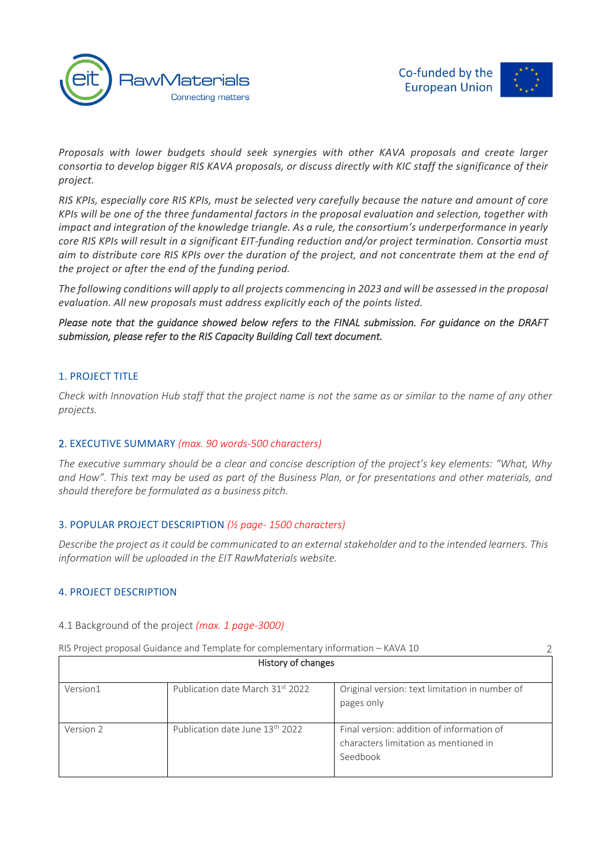



2

*Proposals with lower budgets should seek synergies with other KAVA proposals and create larger consortia to develop bigger RIS KAVA proposals, or discuss directly with KIC staff the significance of their project.* 

*RIS KPIs, especially core RIS KPIs, must be selected very carefully because the nature and amount of core KPIs will be one of the three fundamental factors in the proposal evaluation and selection, together with impact and integration of the knowledge triangle. As a rule, the consortium's underperformance in yearly core RIS KPIs will result in a significant EIT-funding reduction and/or project termination. Consortia must aim to distribute core RIS KPIs over the duration of the project, and not concentrate them at the end of the project or after the end of the funding period.*

*The following conditions will apply to all projects commencing in 2023 and will be assessed in the proposal evaluation. All new proposals must address explicitly each of the points listed.* 

*Please note that the guidance showed below refers to the FINAL submission. For guidance on the DRAFT submission, please refer to the RIS Capacity Building Call text document.* 

# 1. PROJECT TITLE

*Check with Innovation Hub staff that the project name is not the same as or similar to the name of any other projects.*

# 2. EXECUTIVE SUMMARY *(max. 90 words-500 characters)*

*The executive summary should be a clear and concise description of the project's key elements: "What, Why and How". This text may be used as part of the Business Plan, or for presentations and other materials, and should therefore be formulated as a business pitch.*

# 3. POPULAR PROJECT DESCRIPTION *(½ page- 1500 characters)*

*Describe the project as it could be communicated to an external stakeholder and to the intended learners. This information will be uploaded in the EIT RawMaterials website.*

#### 4. PROJECT DESCRIPTION

#### 4.1 Background of the project *(max. 1 page-3000)*

| History of changes |                                             |                                                                                                |  |  |
|--------------------|---------------------------------------------|------------------------------------------------------------------------------------------------|--|--|
| Version1           | Publication date March 31st 2022            | Original version: text limitation in number of<br>pages only                                   |  |  |
| Version 2          | Publication date June 13 <sup>th</sup> 2022 | Final version: addition of information of<br>characters limitation as mentioned in<br>Seedbook |  |  |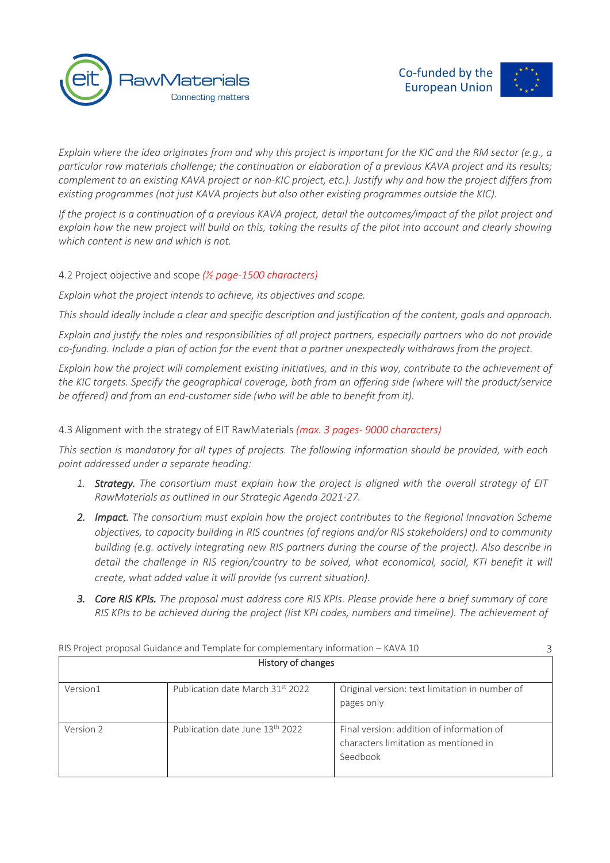



*Explain where the idea originates from and why this project is important for the KIC and the RM sector (e.g., a particular raw materials challenge; the continuation or elaboration of a previous KAVA project and its results; complement to an existing KAVA project or non-KIC project, etc.). Justify why and how the project differs from existing programmes (not just KAVA projects but also other existing programmes outside the KIC).*

*If the project is a continuation of a previous KAVA project, detail the outcomes/impact of the pilot project and explain how the new project will build on this, taking the results of the pilot into account and clearly showing which content is new and which is not.*

# 4.2 Project objective and scope *(½ page-1500 characters)*

*Explain what the project intends to achieve, its objectives and scope.*

*This should ideally include a clear and specific description and justification of the content, goals and approach.*

*Explain and justify the roles and responsibilities of all project partners, especially partners who do not provide co-funding. Include a plan of action for the event that a partner unexpectedly withdraws from the project.*

*Explain how the project will complement existing initiatives, and in this way, contribute to the achievement of the KIC targets. Specify the geographical coverage, both from an offering side (where will the product/service be offered) and from an end-customer side (who will be able to benefit from it).*

# 4.3 Alignment with the strategy of EIT RawMaterials *(max. 3 pages- 9000 characters)*

*This section is mandatory for all types of projects. The following information should be provided, with each point addressed under a separate heading:*

- *1. Strategy. The consortium must explain how the project is aligned with the overall strategy of EIT RawMaterials as outlined in our Strategic Agenda 2021-27.*
- *2. Impact. The consortium must explain how the project contributes to the Regional Innovation Scheme objectives, to capacity building in RIS countries (of regions and/or RIS stakeholders) and to community building (e.g. actively integrating new RIS partners during the course of the project). Also describe in detail the challenge in RIS region/country to be solved, what economical, social, KTI benefit it will create, what added value it will provide (vs current situation).*
- *3. Core RIS KPIs. The proposal must address core RIS KPIs. Please provide here a brief summary of core RIS KPIs to be achieved during the project (list KPI codes, numbers and timeline). The achievement of*

|           | RIS Project proposal Guidance and Template for complementary information - KAVA 10 |                                                                                                |
|-----------|------------------------------------------------------------------------------------|------------------------------------------------------------------------------------------------|
|           | History of changes                                                                 |                                                                                                |
| Version1  | Publication date March 31st 2022                                                   | Original version: text limitation in number of<br>pages only                                   |
| Version 2 | Publication date June 13 <sup>th</sup> 2022                                        | Final version: addition of information of<br>characters limitation as mentioned in<br>Seedbook |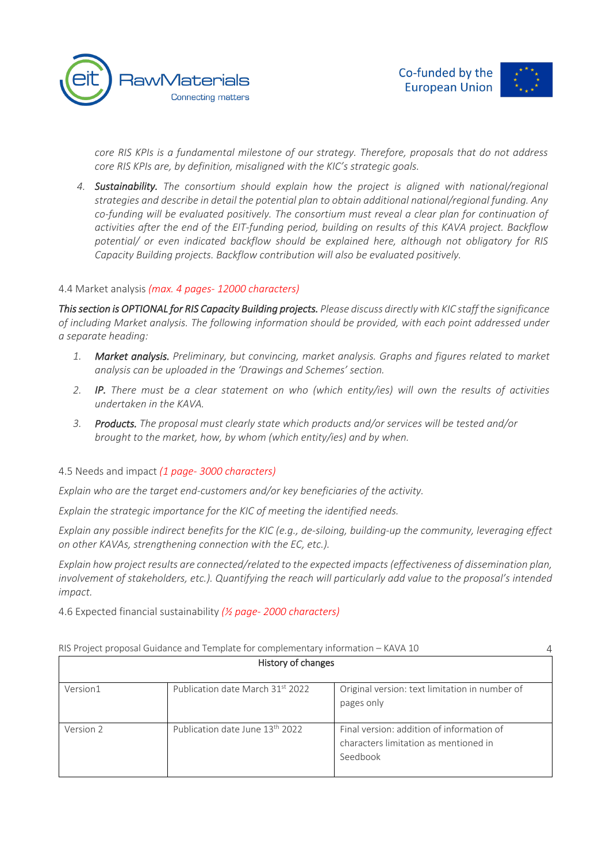



*core RIS KPIs is a fundamental milestone of our strategy. Therefore, proposals that do not address core RIS KPIs are, by definition, misaligned with the KIC's strategic goals.* 

*4. Sustainability. The consortium should explain how the project is aligned with national/regional strategies and describe in detail the potential plan to obtain additional national/regional funding. Any co-funding will be evaluated positively. The consortium must reveal a clear plan for continuation of activities after the end of the EIT-funding period, building on results of this KAVA project. Backflow potential/ or even indicated backflow should be explained here, although not obligatory for RIS Capacity Building projects. Backflow contribution will also be evaluated positively.*

# 4.4 Market analysis *(max. 4 pages- 12000 characters)*

*This section is OPTIONAL for RIS Capacity Building projects. Please discuss directly with KIC staff the significance of including Market analysis. The following information should be provided, with each point addressed under a separate heading:* 

- *1. Market analysis. Preliminary, but convincing, market analysis. Graphs and figures related to market analysis can be uploaded in the 'Drawings and Schemes' section.*
- *2. IP. There must be a clear statement on who (which entity/ies) will own the results of activities undertaken in the KAVA.*
- *3. Products. The proposal must clearly state which products and/or services will be tested and/or brought to the market, how, by whom (which entity/ies) and by when.*

# 4.5 Needs and impact *(1 page- 3000 characters)*

*Explain who are the target end-customers and/or key beneficiaries of the activity.*

*Explain the strategic importance for the KIC of meeting the identified needs.*

*Explain any possible indirect benefits for the KIC (e.g., de-siloing, building-up the community, leveraging effect on other KAVAs, strengthening connection with the EC, etc.).*

*Explain how project results are connected/related to the expected impacts (effectiveness of dissemination plan, involvement of stakeholders, etc.). Quantifying the reach will particularly add value to the proposal's intended impact.*

4.6 Expected financial sustainability *(½ page- 2000 characters)*

|           | RIS Project proposal Guidance and Template for complementary information - KAVA 10 |                                                                                                |  |  |  |
|-----------|------------------------------------------------------------------------------------|------------------------------------------------------------------------------------------------|--|--|--|
|           | History of changes                                                                 |                                                                                                |  |  |  |
| Version1  | Publication date March 31st 2022                                                   | Original version: text limitation in number of<br>pages only                                   |  |  |  |
| Version 2 | Publication date June 13 <sup>th</sup> 2022                                        | Final version: addition of information of<br>characters limitation as mentioned in<br>Seedbook |  |  |  |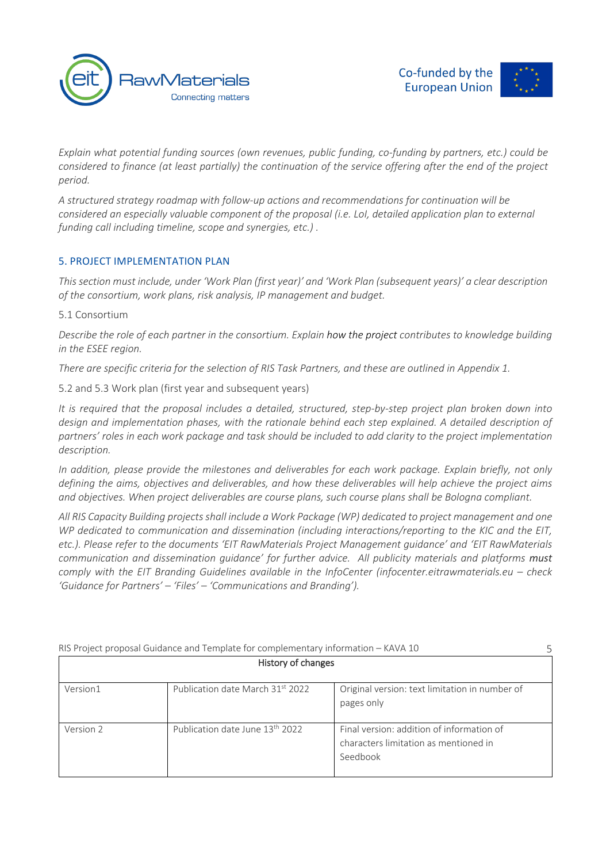



*Explain what potential funding sources (own revenues, public funding, co-funding by partners, etc.) could be considered to finance (at least partially) the continuation of the service offering after the end of the project period.*

*A structured strategy roadmap with follow-up actions and recommendations for continuation will be considered an especially valuable component of the proposal (i.e. LoI, detailed application plan to external funding call including timeline, scope and synergies, etc.) .*

# 5. PROJECT IMPLEMENTATION PLAN

*This section must include, under 'Work Plan (first year)' and 'Work Plan (subsequent years)' a clear description of the consortium, work plans, risk analysis, IP management and budget.*

# 5.1 Consortium

*Describe the role of each partner in the consortium. Explain how the project contributes to knowledge building in the ESEE region.* 

*There are specific criteria for the selection of RIS Task Partners, and these are outlined in Appendix 1.*

5.2 and 5.3 Work plan (first year and subsequent years)

*It is required that the proposal includes a detailed, structured, step-by-step project plan broken down into design and implementation phases, with the rationale behind each step explained. A detailed description of partners' roles in each work package and task should be included to add clarity to the project implementation description.*

*In addition, please provide the milestones and deliverables for each work package. Explain briefly, not only defining the aims, objectives and deliverables, and how these deliverables will help achieve the project aims and objectives. When project deliverables are course plans, such course plans shall be Bologna compliant.*

*All RIS Capacity Building projects shall include a Work Package (WP) dedicated to project management and one WP dedicated to communication and dissemination (including interactions/reporting to the KIC and the EIT, etc.). Please refer to the documents 'EIT RawMaterials Project Management guidance' and 'EIT RawMaterials communication and dissemination guidance' for further advice. All publicity materials and platforms must comply with the EIT Branding Guidelines available in the InfoCenter (infocenter.eitrawmaterials.eu – check 'Guidance for Partners' – 'Files' – 'Communications and Branding').*

|           | RIS Project proposal Guidance and Template for complementary information - KAVA 10 |                                                                                                |  |
|-----------|------------------------------------------------------------------------------------|------------------------------------------------------------------------------------------------|--|
|           | History of changes                                                                 |                                                                                                |  |
| Version1  | Publication date March 31st 2022                                                   | Original version: text limitation in number of<br>pages only                                   |  |
| Version 2 | Publication date June 13 <sup>th</sup> 2022                                        | Final version: addition of information of<br>characters limitation as mentioned in<br>Seedbook |  |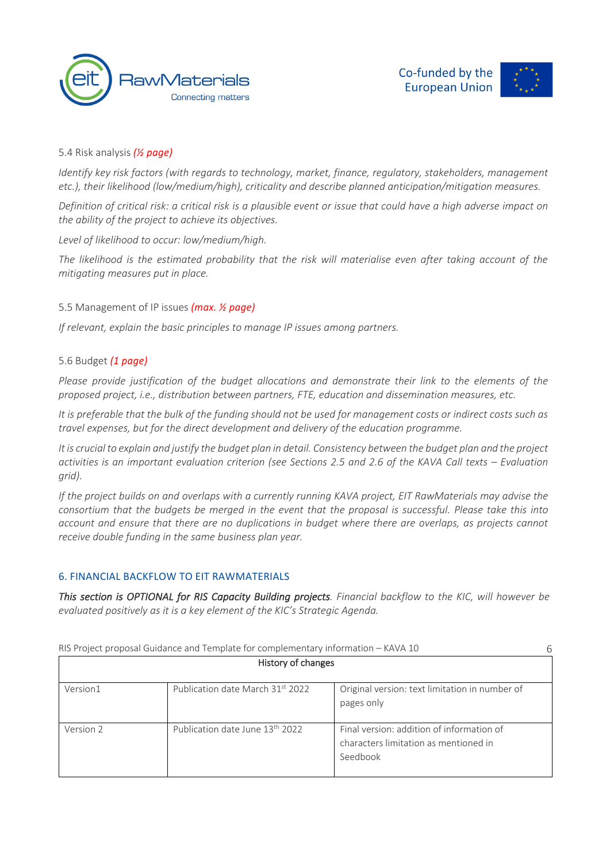



# 5.4 Risk analysis *(½ page)*

*Identify key risk factors (with regards to technology, market, finance, regulatory, stakeholders, management etc.), their likelihood (low/medium/high), criticality and describe planned anticipation/mitigation measures.*

*Definition of critical risk: a critical risk is a plausible event or issue that could have a high adverse impact on the ability of the project to achieve its objectives.*

*Level of likelihood to occur: low/medium/high.*

*The likelihood is the estimated probability that the risk will materialise even after taking account of the mitigating measures put in place.*

# 5.5 Management of IP issues *(max. ½ page)*

*If relevant, explain the basic principles to manage IP issues among partners.*

#### 5.6 Budget *(1 page)*

*Please provide justification of the budget allocations and demonstrate their link to the elements of the proposed project, i.e., distribution between partners, FTE, education and dissemination measures, etc.* 

*It is preferable that the bulk of the funding should not be used for management costs or indirect costs such as travel expenses, but for the direct development and delivery of the education programme.*

*It is crucial to explain and justify the budget plan in detail. Consistency between the budget plan and the project activities is an important evaluation criterion (see Sections 2.5 and 2.6 of the KAVA Call texts – Evaluation grid).*

*If the project builds on and overlaps with a currently running KAVA project, EIT RawMaterials may advise the consortium that the budgets be merged in the event that the proposal is successful. Please take this into account and ensure that there are no duplications in budget where there are overlaps, as projects cannot receive double funding in the same business plan year.*

# 6. FINANCIAL BACKFLOW TO EIT RAWMATERIALS

*This section is OPTIONAL for RIS Capacity Building projects. Financial backflow to the KIC, will however be evaluated positively as it is a key element of the KIC's Strategic Agenda.* 

|           | RIS Project proposal Guidance and Template for complementary information - KAVA 10 |                                                                                                |  |
|-----------|------------------------------------------------------------------------------------|------------------------------------------------------------------------------------------------|--|
|           | History of changes                                                                 |                                                                                                |  |
| Version1  | Publication date March 31st 2022                                                   | Original version: text limitation in number of<br>pages only                                   |  |
| Version 2 | Publication date June 13 <sup>th</sup> 2022                                        | Final version: addition of information of<br>characters limitation as mentioned in<br>Seedbook |  |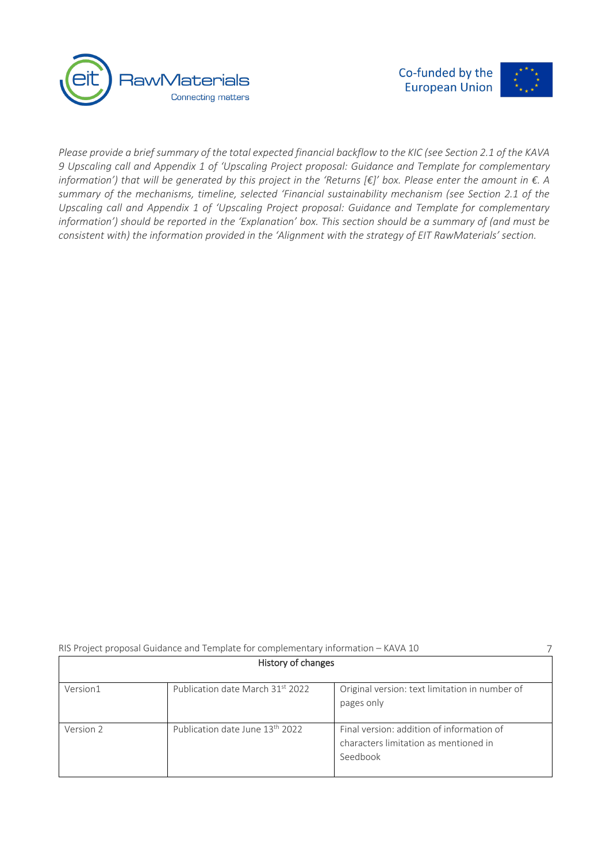



7

*Please provide a brief summary of the total expected financial backflow to the KIC (see Section 2.1 of the KAVA 9 Upscaling call and Appendix 1 of 'Upscaling Project proposal: Guidance and Template for complementary information') that will be generated by this project in the 'Returns [€]' box. Please enter the amount in €. A summary of the mechanisms, timeline, selected 'Financial sustainability mechanism (see Section 2.1 of the Upscaling call and Appendix 1 of 'Upscaling Project proposal: Guidance and Template for complementary information') should be reported in the 'Explanation' box. This section should be a summary of (and must be consistent with) the information provided in the 'Alignment with the strategy of EIT RawMaterials' section.*

| History of changes |                                  |                                                                                                |  |  |
|--------------------|----------------------------------|------------------------------------------------------------------------------------------------|--|--|
| Version1           | Publication date March 31st 2022 | Original version: text limitation in number of<br>pages only                                   |  |  |
| Version 2          | Publication date June 13th 2022  | Final version: addition of information of<br>characters limitation as mentioned in<br>Seedbook |  |  |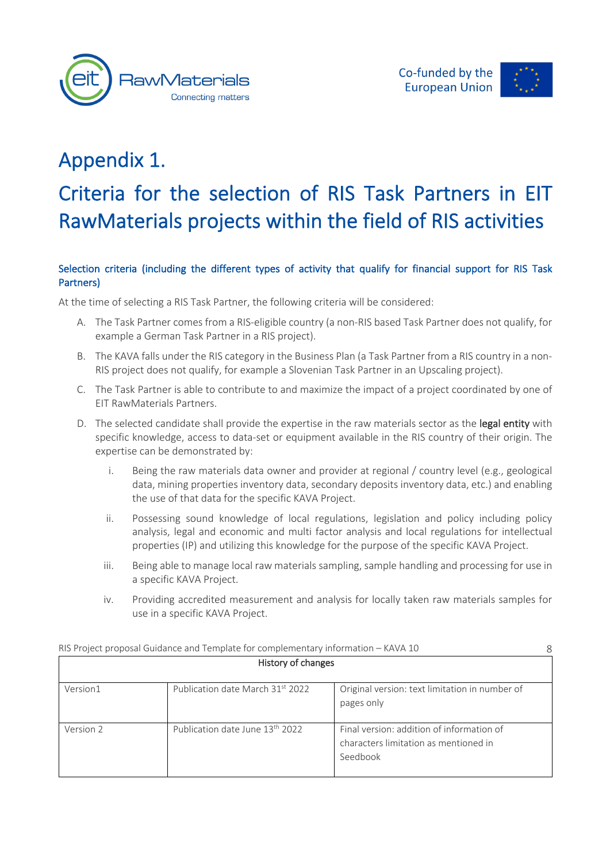



# Selection criteria (including the different types of activity that qualify for financial support for RIS Task Partners)

At the time of selecting a RIS Task Partner, the following criteria will be considered:

- A. The Task Partner comes from a RIS-eligible country (a non-RIS based Task Partner does not qualify, for example a German Task Partner in a RIS project).
- B. The KAVA falls under the RIS category in the Business Plan (a Task Partner from a RIS country in a non-RIS project does not qualify, for example a Slovenian Task Partner in an Upscaling project).
- C. The Task Partner is able to contribute to and maximize the impact of a project coordinated by one of EIT RawMaterials Partners.
- D. The selected candidate shall provide the expertise in the raw materials sector as the legal entity with specific knowledge, access to data-set or equipment available in the RIS country of their origin. The expertise can be demonstrated by:
	- i. Being the raw materials data owner and provider at regional / country level (e.g., geological data, mining properties inventory data, secondary deposits inventory data, etc.) and enabling the use of that data for the specific KAVA Project.
	- ii. Possessing sound knowledge of local regulations, legislation and policy including policy analysis, legal and economic and multi factor analysis and local regulations for intellectual properties (IP) and utilizing this knowledge for the purpose of the specific KAVA Project.
	- iii. Being able to manage local raw materials sampling, sample handling and processing for use in a specific KAVA Project.
	- iv. Providing accredited measurement and analysis for locally taken raw materials samples for use in a specific KAVA Project.

|           | RIS Project proposal Guidance and Template for complementary information - KAVA 10 |                                                                                                |
|-----------|------------------------------------------------------------------------------------|------------------------------------------------------------------------------------------------|
|           | History of changes                                                                 |                                                                                                |
| Version1  | Publication date March 31st 2022                                                   | Original version: text limitation in number of<br>pages only                                   |
| Version 2 | Publication date June 13 <sup>th</sup> 2022                                        | Final version: addition of information of<br>characters limitation as mentioned in<br>Seedbook |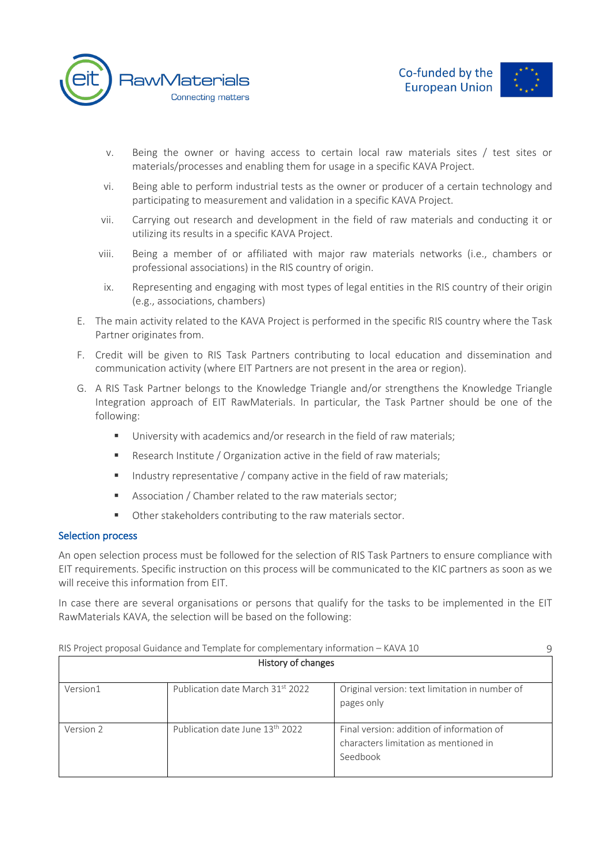



- v. Being the owner or having access to certain local raw materials sites / test sites or materials/processes and enabling them for usage in a specific KAVA Project.
- vi. Being able to perform industrial tests as the owner or producer of a certain technology and participating to measurement and validation in a specific KAVA Project.
- vii. Carrying out research and development in the field of raw materials and conducting it or utilizing its results in a specific KAVA Project.
- viii. Being a member of or affiliated with major raw materials networks (i.e., chambers or professional associations) in the RIS country of origin.
- ix. Representing and engaging with most types of legal entities in the RIS country of their origin (e.g., associations, chambers)
- E. The main activity related to the KAVA Project is performed in the specific RIS country where the Task Partner originates from.
- F. Credit will be given to RIS Task Partners contributing to local education and dissemination and communication activity (where EIT Partners are not present in the area or region).
- G. A RIS Task Partner belongs to the Knowledge Triangle and/or strengthens the Knowledge Triangle Integration approach of EIT RawMaterials. In particular, the Task Partner should be one of the following:
	- University with academics and/or research in the field of raw materials;
	- Research Institute / Organization active in the field of raw materials;
	- Industry representative / company active in the field of raw materials;
	- Association / Chamber related to the raw materials sector;
	- Other stakeholders contributing to the raw materials sector.

# Selection process

An open selection process must be followed for the selection of RIS Task Partners to ensure compliance with EIT requirements. Specific instruction on this process will be communicated to the KIC partners as soon as we will receive this information from EIT.

In case there are several organisations or persons that qualify for the tasks to be implemented in the EIT RawMaterials KAVA, the selection will be based on the following:

|           | RIS Project proposal Guidance and Template for complementary information - KAVA 10 |                                                                                                |
|-----------|------------------------------------------------------------------------------------|------------------------------------------------------------------------------------------------|
|           | History of changes                                                                 |                                                                                                |
| Version1  | Publication date March 31st 2022                                                   | Original version: text limitation in number of<br>pages only                                   |
| Version 2 | Publication date June 13th 2022                                                    | Final version: addition of information of<br>characters limitation as mentioned in<br>Seedbook |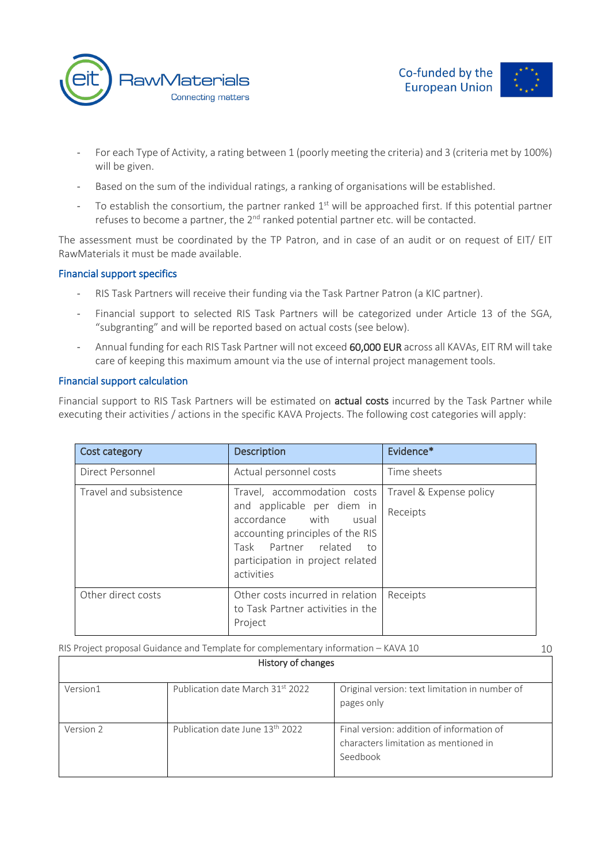



- For each Type of Activity, a rating between 1 (poorly meeting the criteria) and 3 (criteria met by 100%) will be given.
- Based on the sum of the individual ratings, a ranking of organisations will be established.
- To establish the consortium, the partner ranked  $1<sup>st</sup>$  will be approached first. If this potential partner refuses to become a partner, the  $2^{nd}$  ranked potential partner etc. will be contacted.

The assessment must be coordinated by the TP Patron, and in case of an audit or on request of EIT/ EIT RawMaterials it must be made available.

# Financial support specifics

- RIS Task Partners will receive their funding via the Task Partner Patron (a KIC partner).
- Financial support to selected RIS Task Partners will be categorized under Article 13 of the SGA, "subgranting" and will be reported based on actual costs (see below).
- Annual funding for each RIS Task Partner will not exceed 60,000 EUR across all KAVAs, EIT RM will take care of keeping this maximum amount via the use of internal project management tools.

# Financial support calculation

Financial support to RIS Task Partners will be estimated on **actual costs** incurred by the Task Partner while executing their activities / actions in the specific KAVA Projects. The following cost categories will apply:

| <b>Cost category</b>   | <b>Description</b>                                                                                                                                                                                        | Evidence*                           |
|------------------------|-----------------------------------------------------------------------------------------------------------------------------------------------------------------------------------------------------------|-------------------------------------|
| Direct Personnel       | Actual personnel costs                                                                                                                                                                                    | Time sheets                         |
| Travel and subsistence | Travel, accommodation costs<br>and applicable per diem in<br>accordance with<br>usual<br>accounting principles of the RIS<br>Task Partner related<br>to<br>participation in project related<br>activities | Travel & Expense policy<br>Receipts |
| Other direct costs     | Other costs incurred in relation<br>to Task Partner activities in the<br>Project                                                                                                                          | Receipts                            |

| History of changes |                                             |                                                                                                |  |  |
|--------------------|---------------------------------------------|------------------------------------------------------------------------------------------------|--|--|
| Version1           | Publication date March 31st 2022            | Original version: text limitation in number of<br>pages only                                   |  |  |
| Version 2          | Publication date June 13 <sup>th</sup> 2022 | Final version: addition of information of<br>characters limitation as mentioned in<br>Seedbook |  |  |